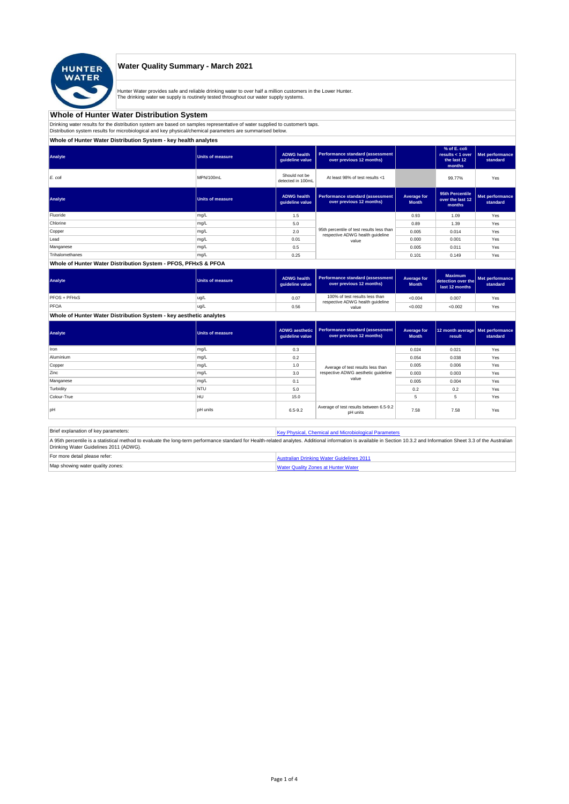

## **Water Quality Summary - March 2021**

Hunter Water provides safe and reliable drinking water to over half a million customers in the Lower Hunter.<br>The drinking water we supply is routinely tested throughout our water supply systems.

#### **Whole of Hunter Water Distribution System**

Drinking water results for the distribution system are based on samples representative of water supplied to customer' taps.<br>Distribution system results for microbiological and key physical/chemical parameters are summarise

#### **Whole of Hunter Water Distribution System - key health analytes**

| Analyte         | <b>Units of measure</b> | <b>ADWG</b> health<br>quideline value | Performance standard (assessment<br>over previous 12 months)                  |                             | % of E. coli<br>results $<$ 1 over<br>the last 12<br>months | Met performance<br>standard |
|-----------------|-------------------------|---------------------------------------|-------------------------------------------------------------------------------|-----------------------------|-------------------------------------------------------------|-----------------------------|
| E. coli         | MPN/100mL               | Should not be<br>detected in 100mL    | At least 98% of test results <1                                               |                             | 99.77%                                                      | Yes                         |
| Analyte         | <b>Units of measure</b> | <b>ADWG</b> health<br>guideline value | Performance standard (assessment<br>over previous 12 months)                  | Average for<br><b>Month</b> | 95th Percentile<br>over the last 12<br>months               | Met performance<br>standard |
| Fluoride        | mg/L                    | 1.5                                   |                                                                               | 0.93                        | 1.09                                                        | Yes                         |
| Chlorine        | mg/L                    | 5.0                                   |                                                                               | 0.89                        | 1.39                                                        | Yes                         |
| Copper          | mg/L                    | 2.0                                   | 95th percentile of test results less than<br>respective ADWG health guideline | 0.005                       | 0.014                                                       | Yes                         |
| Lead            | mg/L                    | 0.01                                  | value                                                                         | 0.000                       | 0.001                                                       | Yes                         |
| Manganese       | mg/L                    | 0.5                                   |                                                                               | 0.005                       | 0.011                                                       | Yes                         |
| Trihalomethanes | mg/L                    | 0.25                                  |                                                                               | 0.101                       | 0.149                                                       | Yes                         |

#### **Whole of Hunter Water Distribution System - PFOS, PFHxS & PFOA**

| Analyte      | <b>Units of measure</b> | <b>ADWG health</b><br>quideline value | Performance standard (assessment<br>over previous 12 months)       | Average for<br><b>Month</b> | <b>Maximum</b><br>detection over the<br>last 12 months | Met performance<br>standard |
|--------------|-------------------------|---------------------------------------|--------------------------------------------------------------------|-----------------------------|--------------------------------------------------------|-----------------------------|
| PFOS + PFHxS | ug/L                    | 0.07                                  | 100% of test results less than<br>respective ADWG health guideline | < 0.004                     | 0.007                                                  | Yes                         |
| PFOA         | ug/L                    | 0.56                                  | value                                                              | < 0.002                     | < 0.002                                                | Yes                         |

**Whole of Hunter Water Distribution System - key aesthetic analytes**

| Analyte     | Units of measure | ADWG aesthetic<br>guideline value | Performance standard (assessment<br>over previous 12 months) | Average for<br><b>Month</b> | 12 month average   Met performance<br>result | standard |
|-------------|------------------|-----------------------------------|--------------------------------------------------------------|-----------------------------|----------------------------------------------|----------|
| Iron        | mg/L             | 0.3                               |                                                              | 0.024                       | 0.021                                        | Yes      |
| Aluminium   | mg/L             | 0.2                               |                                                              | 0.054                       | 0.038                                        | Yes      |
| Copper      | mg/L             | 1.0                               | Average of test results less than                            | 0.005                       | 0.006                                        | Yes      |
| Zinc        | mg/L             | 3.0                               | respective ADWG aesthetic quideline                          | 0.003                       | 0.003                                        | Yes      |
| Manganese   | mg/L             | 0.1                               | value                                                        | 0.005                       | 0.004                                        | Yes      |
| Turbidity   | <b>NTU</b>       | 5.0                               |                                                              | 0.2                         | 0.2                                          | Yes      |
| Colour-True | <b>HU</b>        | 15.0                              |                                                              |                             | 5                                            | Yes      |
| pH          | <b>DH</b> units  | $6.5 - 9.2$                       | Average of test results between 6.5-9.2<br>pH units          | 7.58                        | 7.58                                         | Yes      |

Brief explanation of key parameters: [Key Physical, Che](http://www.hunterwater.com.au/Resources/Documents/Fact-Sheets/Water-Quality/Key-WQ-Parameters.pdf)mical and Microbiological Parameters A 95th percentile is a statistical method to evaluate the long-term performance standard for Health-related analytes. Additional information is available in Section 10.3.2 and Information Sheet 3.3 of the Australian<br>Drinki For more detail please refer: <br> [Australian Drinkin](http://www.nhmrc.gov.au/guidelines/publications/eh52)g Water Guidelines 2011

| Map showing water quality zones: | Water Quality Zones at Hunter Water |
|----------------------------------|-------------------------------------|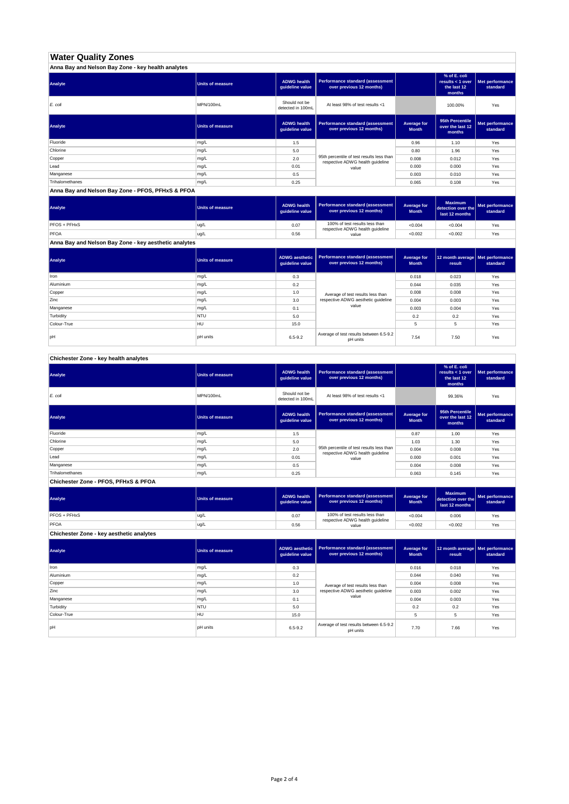# **Water Quality Zones**

| Anna Bay and Nelson Bay Zone - key health analytes |                  |                                       |                                                                               |                             |                                                           |                             |  |
|----------------------------------------------------|------------------|---------------------------------------|-------------------------------------------------------------------------------|-----------------------------|-----------------------------------------------------------|-----------------------------|--|
| Analyte                                            | Units of measure | <b>ADWG health</b><br>quideline value | Performance standard (assessment<br>over previous 12 months)                  |                             | % of E. coli<br>results < 1 over<br>the last 12<br>months | Met performance<br>standard |  |
| E. coli                                            | MPN/100mL        | Should not be<br>detected in 100mL    | At least 98% of test results <1                                               |                             | 100.00%                                                   | Yes                         |  |
| Analyte                                            | Units of measure | <b>ADWG health</b><br>quideline value | Performance standard (assessment<br>over previous 12 months)                  | Average for<br><b>Month</b> | 95th Percentile<br>over the last 12<br>months             | Met performance<br>standard |  |
| Fluoride                                           | mg/L             | 1.5                                   |                                                                               | 0.96                        | 1.10                                                      | Yes                         |  |
| Chlorine                                           | mg/L             | 5.0                                   |                                                                               | 0.80                        | 1.96                                                      | Yes                         |  |
| Copper                                             | mg/L             | 2.0                                   | 95th percentile of test results less than<br>respective ADWG health guideline | 0.008                       | 0.012                                                     | Yes                         |  |
| Lead                                               | mg/L             | 0.01                                  | value                                                                         | 0.000                       | 0.000                                                     | Yes                         |  |
| Manganese                                          | mg/L             | 0.5                                   |                                                                               | 0.003                       | 0.010                                                     | Yes                         |  |
| Trihalomethanes                                    | mg/L             | 0.25                                  |                                                                               | 0.065                       | 0.108                                                     | Yes                         |  |

#### **Anna Bay and Nelson Bay Zone - PFOS, PFHxS & PFOA**

| Analyte                                               | <b>Units of measure</b> | <b>ADWG health</b><br>quideline value | <b>Performance standard (assessment</b><br>over previous 12 months) | Average for<br><b>Month</b> | <b>Maximum</b><br>detection over the<br>last 12 months | Met performance<br>standard |
|-------------------------------------------------------|-------------------------|---------------------------------------|---------------------------------------------------------------------|-----------------------------|--------------------------------------------------------|-----------------------------|
| PFOS + PFHxS                                          | ug/L                    | 0.07                                  | 100% of test results less than                                      | < 0.004                     | < 0.004                                                | Yes                         |
| PFOA                                                  | lug/L                   | 0.56                                  | respective ADWG health quideline<br>value                           | < 0.002                     | < 0.002                                                | Yes                         |
| Anna Bay and Nelson Bay Zone - key aesthetic analytes |                         |                                       |                                                                     |                             |                                                        |                             |

| Analyte     | <b>Units of measure</b> | <b>ADWG aesthetic</b><br>guideline value | Performance standard (assessment<br>over previous 12 months) | Average for<br><b>Month</b> | 12 month average   Met performance<br>result | standard |
|-------------|-------------------------|------------------------------------------|--------------------------------------------------------------|-----------------------------|----------------------------------------------|----------|
| Iron        | mg/L                    | 0.3                                      |                                                              | 0.018                       | 0.023                                        | Yes      |
| Aluminium   | mg/L                    | 0.2                                      |                                                              | 0.044                       | 0.035                                        | Yes      |
| Copper      | mg/L                    | 1.0                                      | Average of test results less than                            | 0.008                       | 0.008                                        | Yes      |
| Zinc        | mg/L                    | 3.0                                      | respective ADWG aesthetic quideline                          | 0.004                       | 0.003                                        | Yes      |
| Manganese   | mg/L                    | 0.1                                      | value                                                        | 0.003                       | 0.004                                        | Yes      |
| Turbidity   | <b>NTU</b>              | 5.0                                      |                                                              | 0.2                         | 0.2                                          | Yes      |
| Colour-True | <b>HU</b>               | 15.0                                     |                                                              | 5                           | 5                                            | Yes      |
| pH          | pH units                | $6.5 - 9.2$                              | Average of test results between 6.5-9.2<br>pH units          | 7.54                        | 7.50                                         | Yes      |

## **Chichester Zone - key health analytes**

| Analyte         | <b>Units of measure</b> | <b>ADWG</b> health<br>guideline value | Performance standard (assessment<br>over previous 12 months)                  |                             | % of E. coli<br>results < 1 over<br>the last 12<br>months | Met performance<br>standard |
|-----------------|-------------------------|---------------------------------------|-------------------------------------------------------------------------------|-----------------------------|-----------------------------------------------------------|-----------------------------|
| E. coli         | MPN/100mL               | Should not be<br>detected in 100mL    | At least 98% of test results <1                                               |                             | 99.36%                                                    | Yes                         |
| Analyte         | Units of measure        | <b>ADWG health</b><br>guideline value | Performance standard (assessment<br>over previous 12 months)                  | Average for<br><b>Month</b> | 95th Percentile<br>over the last 12<br>months             | Met performance<br>standard |
| Fluoride        | mg/L                    | 1.5                                   |                                                                               | 0.87                        | 1.00                                                      | Yes                         |
| Chlorine        | mg/L                    | 5.0                                   |                                                                               | 1.03                        | 1.30                                                      | Yes                         |
| Copper          | mg/L                    | 2.0                                   | 95th percentile of test results less than<br>respective ADWG health guideline | 0.004                       | 0.008                                                     | Yes                         |
| Lead            | mg/L                    | 0.01                                  | value                                                                         | 0.000                       | 0.001                                                     | Yes                         |
| Manganese       | mg/L                    | 0.5                                   |                                                                               | 0.004                       | 0.008                                                     | Yes                         |
| Trihalomethanes | mg/L                    | 0.25                                  |                                                                               | 0.063                       | 0.145                                                     | Yes                         |

**Chichester Zone - PFOS, PFHxS & PFOA**

| Analyte             | <b>Units of measure</b> | <b>ADWG health</b><br>auideline value | Performance standard (assessment<br>over previous 12 months)       | Average for<br><b>Month</b> | <b>Maximum</b><br>detection over the<br>last 12 months | Met performance<br>standard |
|---------------------|-------------------------|---------------------------------------|--------------------------------------------------------------------|-----------------------------|--------------------------------------------------------|-----------------------------|
| <b>PFOS + PFHxS</b> | ug/L                    | 0.07                                  | 100% of test results less than<br>respective ADWG health quideline | < 0.004                     | 0.006                                                  | Yes                         |
| PFOA                | lug/L                   | 0.56                                  | value                                                              | < 0.002                     | < 0.002                                                | Yes                         |

**Chichester Zone - key aesthetic analytes**

| Analyte     | <b>Units of measure</b> | quideline value | ADWG aesthetic   Performance standard (assessment<br>over previous 12 months) | Average for<br><b>Month</b> | 12 month average Met performance<br>result | standard |
|-------------|-------------------------|-----------------|-------------------------------------------------------------------------------|-----------------------------|--------------------------------------------|----------|
| Iron        | mg/L                    | 0.3             |                                                                               | 0.016                       | 0.018                                      | Yes      |
| Aluminium   | mg/L                    | 0.2             |                                                                               | 0.044                       | 0.040                                      | Yes      |
| Copper      | mg/L                    | 1.0             | Average of test results less than                                             | 0.004                       | 0.008                                      | Yes      |
| Zinc        | mg/L                    | 3.0             | respective ADWG aesthetic quideline                                           | 0.003                       | 0.002                                      | Yes      |
| Manganese   | mg/L                    | 0.1             | value                                                                         | 0.004                       | 0.003                                      | Yes      |
| Turbidity   | <b>NTU</b>              | 5.0             |                                                                               | 0.2                         | 0.2                                        | Yes      |
| Colour-True | HU                      | 15.0            |                                                                               | 5                           | 5                                          | Yes      |
| loH         | <b>pH</b> units         | $6.5 - 9.2$     | Average of test results between 6.5-9.2<br>pH units                           | 7.70                        | 7.66                                       | Yes      |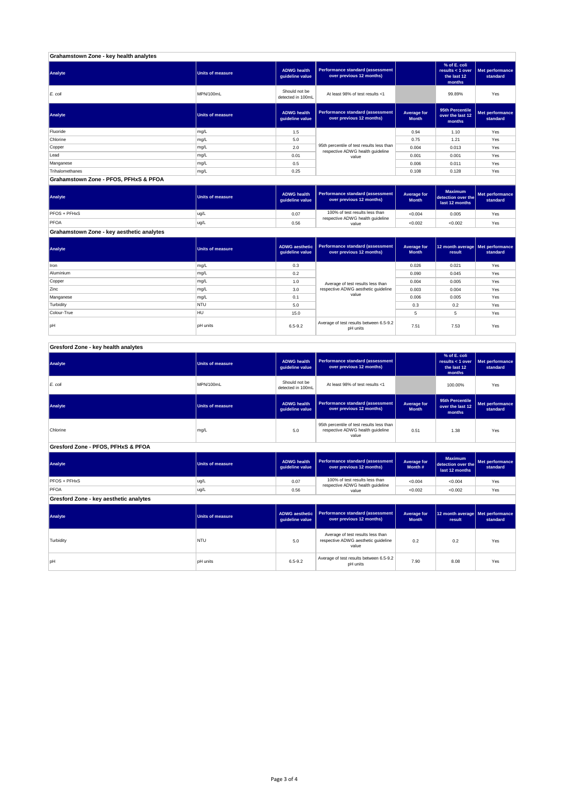#### **Grahamstown Zone - key health analytes**

| Analyte                               | Units of measure | <b>ADWG health</b><br>guideline value | Performance standard (assessment<br>over previous 12 months)                  |                             | % of E. coli<br>results < 1 over<br>the last 12<br>months | Met performance<br>standard |
|---------------------------------------|------------------|---------------------------------------|-------------------------------------------------------------------------------|-----------------------------|-----------------------------------------------------------|-----------------------------|
| E. coli                               | MPN/100mL        | Should not be<br>detected in 100mL    | At least 98% of test results <1                                               |                             | 99.89%                                                    | Yes                         |
| Analyte                               | Units of measure | <b>ADWG health</b><br>guideline value | <b>Performance standard (assessment</b><br>over previous 12 months)           | Average for<br><b>Month</b> | 95th Percentile<br>over the last 12<br>months             | Met performance<br>standard |
| Fluoride                              | mg/L             | 1.5                                   |                                                                               | 0.94                        | 1.10                                                      | Yes                         |
| Chlorine                              | mg/L             | 5.0                                   |                                                                               | 0.75                        | 1.21                                                      | Yes                         |
| Copper                                | mg/L             | 2.0                                   | 95th percentile of test results less than<br>respective ADWG health guideline | 0.004                       | 0.013                                                     | Yes                         |
| Lead                                  | mg/L             | 0.01                                  | value                                                                         | 0.001                       | 0.001                                                     | Yes                         |
| Manganese                             | mg/L             | 0.5                                   |                                                                               | 0.006                       | 0.011                                                     | Yes                         |
| Trihalomethanes                       | mg/L             | 0.25                                  |                                                                               | 0.108                       | 0.128                                                     | Yes                         |
| Grahamstown Zone - PFOS, PFHxS & PFOA |                  |                                       |                                                                               |                             |                                                           |                             |

| Analyte                                   | <b>Units of measure</b> | <b>ADWG health</b><br>guideline value | Performance standard (assessment<br>over previous 12 months) | Average for<br><b>Month</b> | <b>Maximum</b><br>detection over the<br>last 12 months | Met performance<br>standard |
|-------------------------------------------|-------------------------|---------------------------------------|--------------------------------------------------------------|-----------------------------|--------------------------------------------------------|-----------------------------|
| PFOS + PFHxS                              | ug/L                    | 0.07                                  | 100% of test results less than                               | < 0.004                     | 0.005                                                  | Yes                         |
| PFOA                                      | ug/L                    | 0.56                                  | respective ADWG health guideline<br>value                    | < 0.002                     | < 0.002                                                | Yes                         |
| Grahamstown Zone - key aesthetic analytes |                         |                                       |                                                              |                             |                                                        |                             |

| Analyte     | Units of measure | <b>ADWG</b> aesthetic<br>guideline value | Performance standard (assessment<br>over previous 12 months)                      | Average for<br><b>Month</b> | 12 month average   Met performance<br>result | standard |
|-------------|------------------|------------------------------------------|-----------------------------------------------------------------------------------|-----------------------------|----------------------------------------------|----------|
| Iron        | mg/L             | 0.3                                      |                                                                                   | 0.026                       | 0.021                                        | Yes      |
| Aluminium   | mg/L             | 0.2                                      | Average of test results less than<br>respective ADWG aesthetic quideline<br>value | 0.090                       | 0.045                                        | Yes      |
| Copper      | mg/L             | 1.0                                      |                                                                                   | 0.004                       | 0.005                                        | Yes      |
| Zinc        | mg/L             | 3.0                                      |                                                                                   | 0.003                       | 0.004                                        | Yes      |
| Manganese   | mg/L             | 0.1                                      |                                                                                   | 0.006                       | 0.005                                        | Yes      |
| Turbidity   | <b>NTU</b>       | 5.0                                      |                                                                                   | 0.3                         | 0.2                                          | Yes      |
| Colour-True | HU               | 15.0                                     |                                                                                   |                             | 5                                            | Yes      |
| pH          | <b>pH</b> units  | $6.5 - 9.2$                              | Average of test results between 6.5-9.2<br>pH units                               | 7.51                        | 7.53                                         | Yes      |

## **Gresford Zone - key health analytes**

| Analyte                                | <b>Units of measure</b> | <b>ADWG health</b><br>guideline value    | <b>Performance standard (assessment</b><br>over previous 12 months)                    |                             | % of E. coli<br>results < 1 over<br>the last 12<br>months | Met performance<br>standard        |
|----------------------------------------|-------------------------|------------------------------------------|----------------------------------------------------------------------------------------|-----------------------------|-----------------------------------------------------------|------------------------------------|
| E. coli                                | MPN/100mL               | Should not be<br>detected in 100mL       | At least 98% of test results <1                                                        |                             | 100.00%                                                   | Yes                                |
| Analyte                                | <b>Units of measure</b> | <b>ADWG health</b><br>guideline value    | <b>Performance standard (assessment</b><br>over previous 12 months)                    | Average for<br><b>Month</b> | 95th Percentile<br>over the last 12<br>months             | <b>Met performance</b><br>standard |
| Chlorine                               | mg/L                    | 5.0                                      | 95th percentile of test results less than<br>respective ADWG health guideline<br>value | 0.51                        | 1.38                                                      | Yes                                |
| Gresford Zone - PFOS, PFHxS & PFOA     |                         |                                          |                                                                                        |                             |                                                           |                                    |
| <b>Analyte</b>                         | <b>Units of measure</b> | <b>ADWG health</b><br>guideline value    | <b>Performance standard (assessment</b><br>over previous 12 months)                    | Average for<br>Month#       | <b>Maximum</b><br>detection over the<br>last 12 months    | Met performance<br>standard        |
| PFOS + PFHxS                           | ug/L                    | 0.07                                     | 100% of test results less than<br>respective ADWG health guideline                     | < 0.004                     | < 0.004                                                   | Yes                                |
| PFOA                                   | ug/L                    | 0.56                                     | value                                                                                  | < 0.002                     | < 0.002                                                   | Yes                                |
| Gresford Zone - key aesthetic analytes |                         |                                          |                                                                                        |                             |                                                           |                                    |
| Analyte                                | <b>Units of measure</b> | <b>ADWG aesthetic</b><br>guideline value | <b>Performance standard (assessment</b><br>over previous 12 months)                    | Average for<br><b>Month</b> | 12 month average<br>result                                | Met performance<br>standard        |
| Turbidity                              | NTU                     | 5.0                                      | Average of test results less than<br>respective ADWG aesthetic guideline<br>value      | 0.2                         | 0.2                                                       | Yes                                |
| pН                                     | <b>pH</b> units         | $6.5 - 9.2$                              | Average of test results between 6.5-9.2<br>pH units                                    | 7.90                        | 8.08                                                      | Yes                                |